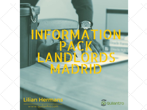# INFQ TON. KANDLOR R



www.quilantro.com

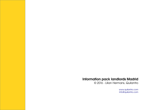## Information pack landlords Madrid

© 2016 - Lilian Hermans, Quilantro

[www.quilantro.com](http://www.quilantro.com/) [info@quilantro.com](mailto:info@quilantro.com)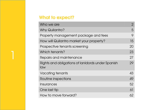# What to expect?

| Who we are                                               | $\overline{2}$ |
|----------------------------------------------------------|----------------|
| <b>Why Quilantro?</b>                                    | 5              |
| Property management package and fees                     | 9              |
| How will Quilantro market your property?                 | 15             |
| Prospective tenants screening                            | 20             |
| Which tenants?                                           | 23             |
| Repairs and maintenance                                  | 27             |
| Rights and obligations of lanidords under Spanish<br>law | 29             |
| Vacating tenants                                         | 43             |
| Routine inspections                                      | 49             |
| Insurances                                               | 52             |
| One last tip                                             | 61             |
| How to move forward?                                     | 62             |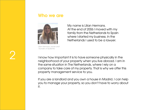## Who we are



Lilian Hermans, owner and founder of Quilantro

My name is Lilian Hermans. At the end of 2006 I moved with my family from the Netherlands to Spain where I started my business. In the Netherlands I used to be a lawyer.

I know how important it is to have someone physically in the neighborhood of your property when you live abroad. I am in the same situation in The Netherlands, where I rely on a company to take care of my property. That is why we offer this property management service to you.

If you are a landlord and you own a house in Madrid, I can help you to manage your property, so you don't have to worry about it.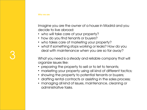Imagine you are the owner of a house in Madrid and you decide to live abroad:

- who will take care of your property?
- how do you find tenants or buyers?
- who takes care of marketing your property?
- what if something stops working or leaks? How do you deal with maintenance when you are so far away?

What you need is a steady and reliable company that will organize issues like:

- preparing the property to sell or to let to tenants;
- marketing your property using all kind of different tactics;
- showing the property to potential tenants or buyers;
- drafting rental contracts or assisting in the sales process;
- managing all kind of issues, maintenance, cleaning or administrative tasks.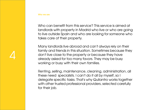Who we are

Who can benefit from this service? This service is aimed at landlords with property in Madrid who live or who are going to live outside Spain and who are looking for someone who takes care of their property.

Many landlords live abroad and can't always rely on their family and friends in this situation. Sometimes because they don't live close to the property or because they have already asked for too many favors. They may be busy working or busy with their own families.

Renting, selling, maintenance, cleaning, administration, all these need specialists. I can't do it all by myself, so I delegate specific tasks. That's why Quilantro works together with other trusted professional providers, selected carefully for their job.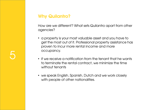# 5

# Why Quilantro?

How are we different? What sets Quilantro apart from other agencies?

- a property is your most valuable asset and you have to get the most out of it. Professional property assistance has proven to incur more rental income and more occupancy.
- if we receive a notification from the tenant that he wants to terminate the rental contract, we minimize the time without tenants
- we speak English, Spanish, Dutch and we work closely with people of other nationalities.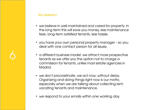- we believe in well-maintained and cared-for property. In the long term this will save you money, less maintenance fees, long-term satisfied tenants, less hassle.
- you have your own personal property manager so you deal with one contact person for all issues.
- a different business model: we attract more prospective tenants as we offer you the option not to charge a commission for tenants, unlike most estate agencies in Madrid.
- we don't procrastinate, we act now, without delay. Organizing and doing things right now is our motto, especially when we are talking about collecting rent, vacating tenants and maintenance.
- we respond to your emails within one working day.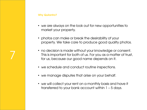#### Why Quilantro?

- we are always on the look out for new opportunities to market your property.
- photos can make or break the desirability of your property. We take care to produce good quality photos.
- no decision is made without your knowledge or consent. This is important for both of us. For you as a matter of trust, for us, because our good name depends on it.
- we schedule and conduct routine inspections.
- we manage disputes that arise on your behalf.
- we will collect your rent on a monthly basis and have it transferred to your bank account within 1 – 5 days.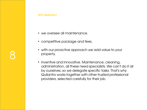- we oversee all maintenance.
- competitive package and fees.
- with our proactive approach we add value to your property.
- inventive and innovative. Maintenance, cleaning, administration, all these need specialists. We can't do it all by ourselves, so we delegate specific tasks. That's why Quilantro works together with other trusted professional providers, selected carefully for their job.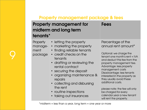# Property management package & fees

| tenants*                               | <b>Property management for</b><br>midterm and long term                                                                                                                                                                                                                                                                                   | <b>Fees</b>                                                                                                                                                                                                                                                                                                                                                                                                                                         |
|----------------------------------------|-------------------------------------------------------------------------------------------------------------------------------------------------------------------------------------------------------------------------------------------------------------------------------------------------------------------------------------------|-----------------------------------------------------------------------------------------------------------------------------------------------------------------------------------------------------------------------------------------------------------------------------------------------------------------------------------------------------------------------------------------------------------------------------------------------------|
| Property<br>manage-<br>ment<br>package | • letting the property<br>• marketing the property<br>• finding reliable tenants<br>• credit checks on the<br>tenants<br>• drafting or reviewing the<br>rental contract<br>• securing the deposit<br>• organizing maintenance &<br>repairs<br>• collecting and disbursing<br>the rent<br>• routine inspections<br>• taking out insurances | Percentage of the<br>annual rent amount*<br>Optional: we charge the<br>tenant one month's rent + IVA<br>and deduct this fee from the<br>property management fee.<br>Advantage: less property<br>management costs<br>Disadvantage: less tenants<br>interested in the property as<br>they usually avoid these<br>additional costs.<br>please note: the fee will only<br>be charged for every<br>calendar year a new tenant<br>will rent the property. |

9

\*midterm = less than a year, long term = one year or more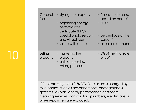| Optional<br>fees    | • styling the property<br>• organizing energy<br>performance<br>certificate (EPC)<br>• special photo session<br>and virtual tour<br>• video with drone | • Prices on demand<br>based on needs*<br>$\bullet$ 90 $\varepsilon^*$<br>• percentage of the<br>session*<br>• prices on demand* |
|---------------------|--------------------------------------------------------------------------------------------------------------------------------------------------------|---------------------------------------------------------------------------------------------------------------------------------|
| Selling<br>property | • marketing the<br>property<br>• assistance in the<br>selling process                                                                                  | • 3% of the final sales<br>price*                                                                                               |

10

\* Fees are subject to 21% IVA. Fees or costs charged by third parties, such as advertisements, photographers, gestores, lawyers, energy performance certificate, cleaning services, constructors, plumbers, electricians or other repairmen are excluded.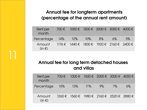# Annual fee for longterm apartments (percentage of the annual rent amount)

| Rent per<br>month    |       | 700 € 1000 € 1500 € 2000 € 3000 € 4000 €  |    |    |    |
|----------------------|-------|-------------------------------------------|----|----|----|
| Percentage           | - 14% | $12\%$ $10\%$                             | 8% | 6% | 5% |
| Amount<br>$(in \in)$ |       | 1176 € 1440 € 1800 € 1920 € 2160 € 2400 € |    |    |    |

# Annual fee for long term detached houses and villas

| Rent per<br>month    | 700 € 1000 € 1500 € 2000 € 3000 € 4000 €                |        |       |    |    |
|----------------------|---------------------------------------------------------|--------|-------|----|----|
| Percentage 15%       | 13%                                                     | $11\%$ | $9\%$ | 7% | 6% |
| Amount<br>$(in \in)$ | $1260 \in 1560 \in 1980 \in 2160 \in 2520 \in 2880 \in$ |        |       |    |    |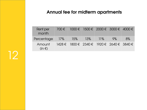# Annual fee for midterm apartments

| <b>Rent per</b><br>month |  | 700€ 1000€ 1500€ 2000€ 3000€ 4000€                      |                      |       |    |
|--------------------------|--|---------------------------------------------------------|----------------------|-------|----|
| Percentage 17%   15% 13% |  |                                                         | $\blacksquare$ 11% / | $9\%$ | 8% |
| Amount<br>$(in \in)$     |  | $1428 \in 1800 \in 2340 \in 1920 \in 2640 \in 3840 \in$ |                      |       |    |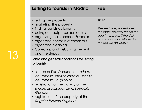|  | Letting to tourists in Madrid                                                                                                                                                                                                                                                                       | Fee                                                                                                                                                                   |
|--|-----------------------------------------------------------------------------------------------------------------------------------------------------------------------------------------------------------------------------------------------------------------------------------------------------|-----------------------------------------------------------------------------------------------------------------------------------------------------------------------|
|  | • letting the property<br>marketing the property<br>$\bullet$<br>• finding tourists as tenants<br>• being contactperson for tourists<br>• organizing maintenance & repairs<br>• organizing check-in & check-out<br>• organizing cleaning<br>• Collecting and disbursing the rent<br>and the deposit | 18%*<br>The fee is the percentage of<br>the received daily rent of the<br>apartment, e.g. if the daily<br>rent amounts to 80€ per day,<br>the fee will be $14.40 \in$ |
|  | <b>Basic and general conditions for letting</b><br>to tourists                                                                                                                                                                                                                                      |                                                                                                                                                                       |
|  | · license of First Occupation, cédula<br>de Primera Habitabilidad or Licensia<br>de Primera Ocupación<br>registration of the activity at the<br>Empresas turísticas de la Dirección<br>General<br>registration of the property at the<br>Registro Turístico Regional                                |                                                                                                                                                                       |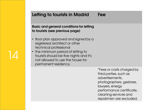# Letting to tourists in Madrid Fee

Basic and general conditions for letting to tourists (see previous page)

- floor plan approved and signed by a registered architect or other technical professional
- the minimum period of letting to tourists should be five nights and it's not allowed to use the house for permanent residency.

14

\*Fees or costs charged by third parties, such as advertisements, photographers, gestores, lawyers, energy performance certificate, cleaning services and repairmen are excluded.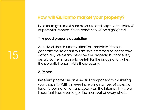In order to gain maximum exposure and capture the interest of potential tenants, three points should be highlighted.

## 1. A good property description

An advert should create attention, maintain interest, generate desire and stimulate the interested person to take action. So, we clearly describe the property, but not every detail. Something should be left for the imagination when the potential tenant visits the property.

### 2. Photos

Excellent photos are an essential component to marketing your property. With an ever-increasing number of potential tenants looking for rental property on the internet, it is more important than ever to get the most out of every photo.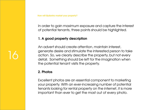In order to gain maximum exposure and capture the interest of potential tenants, three points should be highlighted.

### 1. A good property description

An advert should create attention, maintain interest, generate desire and stimulate the interested person to take action. So, we clearly describe the property, but not every detail. Something should be left for the imagination when the potential tenant visits the property.

#### 2. Photos

Excellent photos are an essential component to marketing your property. With an ever-increasing number of potential tenants looking for rental property on the internet, it is more important than ever to get the most out of every photo.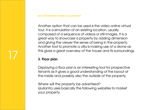Another option that can be used is the video online virtual tour. It is a simulation of an existing location, usually composed of a sequence of videos or still images. It is a great way to showcase a property by adding dimension and giving the viewer the sense of being in the property. Another tool to promote a villa is making use of a drone as this gives a great overview of the house and its surroundings.

## 3. Floor plan

17

Displaying a floor plan is an interesting tool for prospective tenants as it gives a good understanding of the layout of the inside and possibly also the outside of the property.

Where will the property be advertised? Quilantro uses basically the following websites to market your property.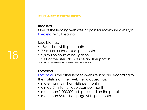## Idealista

One of the leading websites in Spain for maximum visibility is [Idealista.](http://www.idealista.com/) Why Idealista?

Idealista has:

- 18,6 million visits per month
- 7,6 million unique users per month
- 2,8 million hours of navigation
- 50% of the users do not use another portal\* \*Source: brochure servicios profesionales Idealista 2016

## Fotocasa

18

[Fotocasa](http://fotocasa.es/) is the other leader's website in Spain. According to the statistics on their website Fotocasa has:

- more than 12 million visits per month
- almost 7 million unique users per month
- more than 1.000.000 ads published on the portal
- more than 564 million page visits per month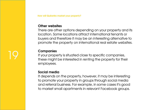### Other websites

There are other options depending on your property and its location. Some locations attract international tenants or buyers and therefore it may be an interesting alternative to promote the property on international real estate websites.

## **Companies**

If your property is situated close to specific companies, these might be interested in renting the property for their employees.

## Social media

It depends on the property, however, it may be interesting to promote your property in groups through social media and referral business. For example, in some cases it's good to market small apartments in relevant Facebook groups.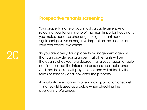# 20

# Prospective tenants screening

Your property is one of your most valuable assets. And selecting your tenant is one of the most important decisions you make, because choosing the right tenant has a significant positive or negative impact on the success of your real estate investment.

So you are looking for a property management agency that can provide reassurances that all tenants will be thoroughly checked to a degree that gives unquestionable confidence that the interested person is a suitable tenant. And that he or she will pay the rent and will abide by the terms of tenancy and look after the property.

At Quilantro we work with a tenancy application checklist. This checklist is used as a guide when checking the applicant's references.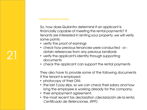#### Prospective tenants screening

21

So, how does Quilantro determine if an applicant Is financially capable of meeting the rental payments? If tenants are interested in renting your property, we will verify some points:

- verify the proof of earnings
- check how previous tenancies were conducted or obtain references from any previous landlords
- verify the applicant's identity through supporting documents
- check the applicant can support the rental payments

They also have to provide some of the following documents. If the tenant is employed:

- photocopy of their DNI;
- the last 3 pay slips, so we can check their salary and how long the employee is working already for the company;
- their employment agreement;
- the most recent tax declaration *(declaración de la renta,* Certificado de Retenciones, IRPF).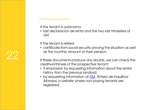#### Prospective tenants screening

If the tenant is autónomo:

• last declaración de renta and the two last trimesters of VAT

If the tenant is retired:

• certificate from social security proving the situation as well as the monthly amount of their pension.

If these documents produce any doubts, we can check the creditworthiness of the prospective tenant:

- if employed: by requesting information about the rental history from the previous landlord;
- by requesting information at **FIM**, fichero de Inquilinos Morosos, a website where non-paying tenants are registered.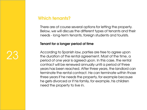There are of course several options for letting the property. Below, we will discuss the different types of tenants and their needs - long-term tenants, foreign students and tourists.

#### Tenant for a longer period of time

According to Spanish law, parties are free to agree upon the duration of the rental agreement. Most of the time, a period of one year is agreed upon. In this case, the rental contract will be renewed annually until a period of three years has been reached. After three years, the landlord can terminate the rental contract. He can terminate within those three years if he needs the property, for example because he gets divorced or if his family, for example, his children need the property to live in.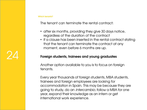24

The tenant can terminate the rental contract:

- after six months, providing they give 30 days notice, regardless of the duration of the contract
- if a clause has been inserted in the rental contract stating that the tenant can terminate the contract at any moment, even before 6 months are up.

## Foreign students, trainees and young graduates

Another option available to you is to focus on foreign tenants.

Every year thousands of foreign students, MBA students, trainees and foreign employees are looking for accommodation in Spain. This may be because they are going to study, do an intercambio, follow a MBA for one year, expand their knowledge as an intern or get international work experience.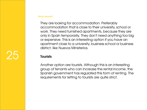They are looking for accommodation. Preferably accommodation that is close to their university, school or work. They need furnished apartments, because they are only in Spain temporarily. They don't need anything too big or expensive. This is an interesting option if you have an apartment close to a university, business school or business district, like Nuevos Ministerios.

#### **Tourists**

Another option are tourists. Although this is an interesting group of tenants who can increase the rental income, the Spanish government has regulated this form of renting. The requirements for letting to tourists are quite strict.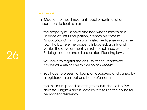26

In Madrid the most important requirements to let an apartment to tourists are:

- the property must have attained what is known as a Licence of First Occupation, Cédula de Primera Habitabilidad. This is an administrative license which the town hall, where the property is located, grants and verifies the development is in full compliance with the Building Licence and all associated Planning laws.
- you have to register the activity at the Registro de Empresas Turísticas de la Dirección General.
- You have to present a floor plan approved and signed by a registered architect or other professional.
- the minimum period of letting to tourists should be five days (four nights) and it isn't allowed to use the house for permanent residency.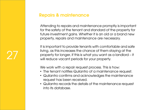# Repairs & maintenance

27

Attending to repairs and maintenance promptly is important for the safety of the tenant and standard of the property for future investment gains. Whether it is an old or a brand new property, repairs and maintenance are necessary.

It is important to provide tenants with comfortable and safe living, as this increases the chance of them staying at the property for longer, if this is what you want as a landlord – it will reduce vacant periods for your property.

We work with a repair request process. This is how:

- The tenant notifies Quilantro of a maintenance request.
- Quilantro confirms and acknowledges the maintenance request has been received.
- Quilantro records the details of the maintenance request into its database.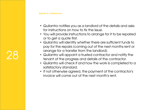# 28

#### Repairs & maintenance

- Quilantro notifies you as a landlord of the details and asks for instructions on how to fix the issue.
- You will provide instructions to arrange for it to be repaired or to get a quote first.
- Quilantro will identify whether there are sufficient funds to pay for the repairs (coming out of the next months rent or arrange for a transfer from the landlord).
- Quilantro will appoint a trusted contractor and notify the tenant of the progress and details of the contractor.
- Quilantro will check if and how the work is completed to a satisfactory standard.
- If not otherwise agreed, the payment of the contractor's invoice will come out of the next month's rent.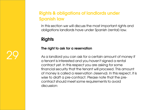In this section we will discuss the most important rights and obligations landlords have under Spanish (rental) law.

# **Rights**

29

## The right to ask for a reservation

As a landlord you can ask for a certain amount of money if a tenant is interested and you haven't signed a rental contract yet. In this respect you are asking for some financial security that the tenant will proceed. This amount of money is called a reservation (reserva). In this respect, it is wise to draft a pre-contract. Please note that the precontract should meet some requirements to avoid discussion: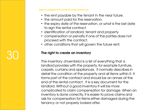- the rent payable by the tenant in the near future.
- the amount paid for the reservation.
- the expiry date of the reservation, or what is the last date to sign the rental contract.
- identification of landlord, tenant and property.
- compensation or penalty if one of the parties does not proceed with the contract.
- other conditions that will govern the future rent.

### The right to create an inventory

30

The inventory *(inventario)* is a list of everything that a landlord provides with the property, for example furniture, carpets, curtains and appliances. It normally describes in detail the condition of the property and all items within it. It forms part of the contract and should be an annex at the end of the rental contract. It is a key document for the landlord. Without a good inventory it will be more complicated to claim compensation for damage. When an inventory is done correctly, it is easier to prove claims and ask for compensation for items either damaged during the tenancy or not properly looked after.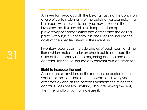An inventory records both the belongings and the condition of use of certain elements of the building. For example, in a bathroom with no ventilation, you may include in the inventory that it is advisable to keep the door open to prevent vapor condensation that deteriorates the ceiling paint. Although it is not easy, it is also useful to include the costs of the specified items in the inventory.

Inventory reports can include photos of each room and the items which make it easier on check out to compare the state of the property at the beginning and the end of the contract. This should include any relevant outside areas too.

#### Right to increase the rent

31

An increase (or revision) of the rent can be carried out a year after the start date of the contract and every year after that as long as the contract mentions this. When the contract does not say anything about reviewing the rent, then the landlord cannot increase it.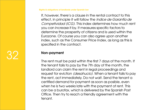If, however, there's a clause in the rental contract to this effect, in principle it will follow the Indice de Garantía de Competividad (ICG). This index determines how much rent you can increase it by. It measures specific factors to determine the prosperity of citizens and is used within the Eurozone. Of course you can also agree upon another index, such as the Consumer Price Index, as long as this is specified in the contract.

#### Non-payment

32

The rent must be paid within the first 7 days of the month. If the tenant fails to pay by the 7th day of the month, the landlord can claim the rent in legal proceedings and request for eviction *(desahucio)*. When a tenant fails to pay the rent, act immediately. Do not wait. Send the tenant a certified demand for payment as soon as posible, even when he is two weeks late with the payment of rent. This can be a burofax, which is delivered by the Spanish Post Office. Then try to reach a friendly agreement with the tenant.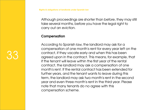Although proceedings are shorter than before, they may still take several months, before you have the legal right to carry out an eviction.

### **Compensation**

According to Spanish law, the landlord may ask for a compensation of one month's rent for every year left on the contract, if they vacate early and when this has been agreed upon in the contract. This means, for example, that if the tenant will leave within the first year of the rental contract, the landlord may ask a compensation of one month's rent. If the rental contract has been extended for further years, and the tenant wants to leave during this term, the landlord may ask two month's rent in the second year and even three month's rent in the third year. Please note that many tenants do no agree with this compensation scheme.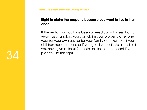## Right to claim the property because you want to live in it at once

If the rental contract has been agreed upon for less than 3 years, as a landlord you can claim your property after one year for your own use, or for your family (for example if your children need a house or if you get divorced). As a landlord you must give at least 2 months notice to the tenant if you plan to use this right.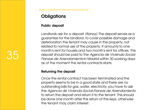# **Obligations**

## Public deposit

35

Landlords ask for a deposit *(fianza)*. The deposit serves as a guarantee for the landlord, to cover possible damage and deterioration the tenant may cause in the property, not related to normal use of the property. It amounts to one month's rent for houses and two month's rent for offices. This deposit should be paid to the Agencia de Vivienda Social-Fianzas de Arrendamiento in Madrid within 30 working days as of the moment the rental contracts starts.

#### Returning the deposit

Once the rental contract has been terminated and the property seems to be in a good state and there are no outstanding bills for gas, water, electricity, you have to ask the Agencia de Vivienda Social-Fianzas de Arrendamiento to return the deposit and return it to the tenant. This should be done one month after the return of the keys, otherwise the tenant may claim interest.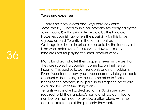#### Taxes and expenses

'Gastos de comunidad'and 'Impuesto de Bienes Inmeubles' (IBI, local municipal property tax charged by the town council) will in principle be paid by the landlord. However, Spanish law offers the possibility for this to be agreed upon differently in the rental contract. Garbage tax should in principle be paid by the tenant, as it is he who makes use of this service. However, many landlords opt for paying this small amount of tax.

Many landlords who let their property seem unaware that they are subject to Spanish income tax on their rental income. This applies to both residents and non-residents. Even if your tenant pays you in your currency into your bank account at home, legally this income arises in Spain because the property is in Spain. In this respect, be aware as a landlord of these obligations.

Tenants who make tax declarations in Spain are now required to list their landlord's name and tax identification number on their income tax declaration along with the catastral reference of the property they rent.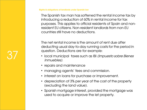The Spanish tax man has softened the rental income tax by introducing a reduction of 60% in rental income for tax purposes. This applies to official residents of Spain and nonresident EU citizens. Non-resident landlords from non-EU countries still have no deductions.

The net rental income is the amount of rent due after deducting usual day-to-day running costs for the period in question. Deductions are for example:

- local municipal taxes such as IBI (Impuesto sobre Bienes Inmuebles).
- repairs and maintenance

- managing agents' fees and commission.
- interest on loans for purchase or improvement.
- depreciation of 3% per year of the cost of the property (excluding the land value).
- Spanish mortgage interest, provided the mortgage was used to acquire or improve the let property.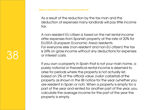38

As a result of the reduction by the tax man and the deduction of expenses many landlords will pay little income tax.

A non-resident EU citizen is taxed on the net rental income after expenses from Spanish property at the rate of 20% for EU/EEA (European Economic Area) residents. For everyone else (non-resident and non-EU citizen) the tax is 24% on gross income without any deductions for expenses or interest costs.

If you own a property in Spain that is not your main home, a purely notional or theoretical rental income is deemed to arise for periods where the property is not actually let, based on 2% of the official value (valor catastral) of the property as shown in the IBI notice for the year (whether you are resident in Spain or not). When a property is empty for a part of the year and rented for another part of the year, you calculate the average income for the part of the year the property is empty.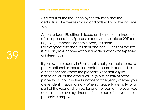39

As a result of the reduction by the tax man and the deduction of expenses many landlords will pay little income tax.

A non-resident EU citizen is taxed on the net rental income after expenses from Spanish property at the rate of 20% for EU/EEA (European Economic Area) residents. For everyone else (non-resident and non-EU citizen) the tax is 24% on gross income without any deductions for expenses or interest costs.

If you own a property in Spain that is not your main home, a purely notional or theoretical rental income is deemed to arise for periods where the property is not actually let, based on 2% of the official value (valor catastral) of the property as shown in the IBI notice for the year (whether you are resident in Spain or not). When a property is empty for a part of the year and rented for another part of the year, you calculate the average income for the part of the year the property is empty.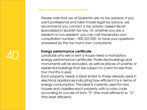Please note that we at Quilantro are no tax advisors. If you want professional and tailor-made legal tax advice, we recommend you contact a tax advisor *(asesor fiscal)* specialized in Spanish tax law. Or, whether you are a resident or non-resident, you can call Hacienda's own consultation number – 900 333 555- to have your questions answered by the tax man's own consultants.

### Energy performance certificate

40

Landlords who sell or rent a house need a mandatory energy performance certificate. Protected buildings and monuments will be excluded, as well as places of worship or residential buildings that are subject to a rent for less than four months a year.

Each property needs a label similar to those already used in electrical appliances indicating how efficient it is in terms of energy consumption. This label is currently used for new houses and classifies each property with a color code according to a scale of from "A" (the most efficient) to "G" (the least efficient).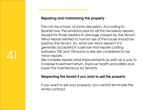41

## Repairing and maintaining the property

This can be a topic of some discussion. According to Spanish law, the landlord pays for all the necessary repairs except for those related to damage caused by the tenant. Minor repairs related to normal use of the house should be paid by the tenant. So, what are minor repairs? It is generally accepted in case law that repairs costing between 100 and 150 euros or less are considered to be minor repairs.

We consider repairs (and improvements as well) as a way to increase investment return, improve health and safety and lower the maintenance for tenants.

## Respecting the tenant if you want to sell the property

If you want to sell your property, you cannot terminate the rental contract.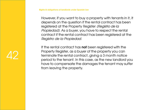However, if you want to buy a property with tenants in it, it depends on the question if the rental contract has been registered at the Property Register (Registro de la Propiedad). As a buyer, you have to respect the rental contract if the rental contract has been registered at the Registro de la Propiedad.

If the rental contract has **not** been registered with the Property Register, as a buyer of the property you can terminate the rental contract, giving a 3 month notice period to the tenant. In this case, as the new landlord you have to compensate the damages the tenant may suffer from leaving the property.

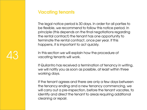43

The legal notice period is 30 days. In order for all parties to be flexible, we recommend to follow this notice period. In principle (this depends on the final negotiations regarding the rental contract) the tenant has one opportunity to terminate the rental contract, once per year. If this happens, it is important to act quickly.

In this section we will explain how the procedure of vacating tenants will work.

If Quilantro has received a termination of tenancy in writing, we will notify you as soon as possible, at least within three working days.

If the tenant agrees and there are only a few days between the tenancy ending and a new tenancy commencing, we will carry out a pre-inspection, before the tenant vacates, to identify and direct the tenant to areas requiring additional cleaning or repair.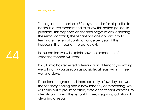44

The legal notice period is 30 days. In order for all parties to be flexible, we recommend to follow this notice period. In principle (this depends on the final negotiations regarding the rental contract) the tenant has one opportunity to terminate the rental contract, once per year. If this happens, it is important to act quickly.

In this section we will explain how the procedure of vacating tenants will work.

If Quilantro has received a termination of tenancy in writing, we will notify you as soon as possible, at least within three working days.

If the tenant agrees and there are only a few days between the tenancy ending and a new tenancy commencing, we will carry out a pre-inspection, before the tenant vacates, to identify and direct the tenant to areas requiring additional cleaning or repair.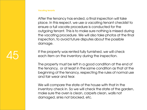After the tenancy has ended, a final inspection will take place. In this respect, we use a vacating tenant checklist to ensure a full vacate procedure is conducted for the outgoing tenant. This is to make sure nothing is missed during the vacating procedure. We will also take photos at the final inspection, to avoid future disputes about the possible damage.

If the property was rented fully furnished, we will check each item on the inventory during the inspection.

The property must be left in a good condition at the end of the tenancy, or at least in the same condition as that at the beginning of the tenancy, respecting the rules of normal use and fair wear and tear.

We will compare the state of the house with that in the inventory check in. So we will check the state of the garden, make sure the oven is clean, carpets clean, walls not damaged, sinks not blocked, etc.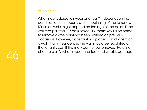What is considered fair wear and tear? It depends on the condition of the property at the beginning of the tenancy. Marks on walls might depend on the age of the paint. If the wall was painted 10 years previously, marks would be harder to remove as the paint has been washed on previous occasions. However, if a tenant has placed a sticky item on a wall, that is negligence, the wall should be repainted at the tenant's cost if the mark cannot be removed. Here is a chart to clarify what is wear and tear and what is damage:

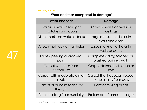47

## Wear and tear compared to damage\*

| <b>Wear and tear</b>                             | Damage                                                 |
|--------------------------------------------------|--------------------------------------------------------|
| Stains on walls near light<br>switches and doors | Crayon marks on walls or<br>ceilings                   |
| Minor marks on walls or doors                    | Large marks on or holes in<br>walls and door           |
| A few small tack or nail holes                   | Large marks on or holes in<br>walls or doors           |
| Fades, peeling or cracked<br>paint               | Completely dirty, scraped or<br>brushed painted walls  |
| Carpet worn thin from<br>normal use              | Carpet stained by bleach or<br>dye                     |
| Carpet with moderate dirt or<br>spots            | Carpet that has been ripped<br>or has stains from pets |
| Carpet or curtains faded by<br>the sun           | Bent or missing blinds                                 |
| Doors sticking from humidity                     | Broken doorframes or hinges                            |

\*Robert Griswold – property management for dummies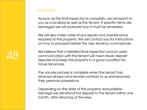48

As soon as the final inspection is complete, we will report to you as a landlord as well as the tenant. If specific items are damaged we will evaluate how it must be remedied.

We will also make notes of any repairs and maintenance required at the property. We will contact you for instructions on how to proceed before the new tenancy commences.

We believe that a detailed final inspection and an open communication with the tenant will mean fewer deposit disputes and keep the property in a good condition for future tenancies.

The vacate process is complete when the tenant has returned all keys (and remote controls) to us and removed their personal possessions.

Depending on the state of the property and possible damage we will refund the deposit to the tenant within one month, after returning of the keys.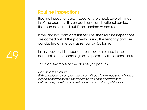# Routine inspections

Routine inspections are inspections to check several things in of the property. It is an additional and optional service, that can be carried out if the landlord wishes so.

If the landlord contracts this service, then routine inspections are carried out at the property during the tenancy and are conducted at intervals as set out by Quilantro.

In this respect, it is important to include a clause in the contract so the tenant agrees to permit routine inspections.

This is an example of the clause (in Spanish):

Acceso a la vivienda.

El Arrendatario se compromete a permitir que la vivienda sea visitada e inspeccionada por los Arrendadores o personas debidamente autorizadas por ésta, con previo aviso y por motivos justificados.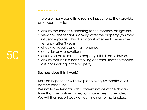#### Routine inspections

50

There are many benefits to routine inspections. They provide an opportunity to:

- ensure the tenant is adhering to the tenancy obligations.
- view how the tenant is looking after the property (this may influence you as a landlord about whether to renew the tenancy after 3 years).
- check for repairs and maintenance.
- consider any renovations.
- ensure no pets are in the property if this is not allowed.
- ensure that if it is a non smoking contract, that the tenants are not smoking in the property.

#### So, how does this it work?

Routine inspections will take place every six months or as agreed otherwise.

We notify the tenants with sufficient notice of the day and time that the routine inspections have been scheduled. We will then report back on our findings to the landlord.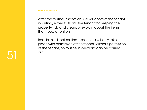After the routine inspection, we will contact the tenant in writing, either to thank the tenant for keeping the property tidy and clean, or explain about the items that need attention.

Bear in mind that routine inspections will only take place with permission of the tenant. Without permission of the tenant, no routine inspections can be carried out.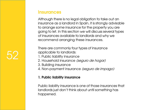Although there is no legal obligation to take out an insurance as a landlord in Spain, it is strongly advisable to arrange some insurance for the property you are going to let. In this section we will discuss several types of insurances available to landlords and why we recommend arranging these insurances.

There are commonly four types of insurance applicable to landlords:

- 1. Public liability insurance
- 2. Household insurance (seguro de hogar)
- 3. Building insurance
- 4. Non-payment insurance (seguro de impago)

## 1. Public liability insurance

Public liability insurance is one of those insurances that landlords just don't think about until something has happened.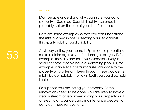Most people understand why you insure your car or property in Spain but Spanish liability insurance is probably not on the top of your list of priorities.

Here are some examples so that you can understand the risks involved in not protecting yourself against third-party liability (public liability).

Anybody visiting your home in Spain could potentially make a claim against you for damages or injury if, for example, they slip and fall. This is especially likely in Spain as some people have a swimming pool. Or, for example, if an electrical fault causes damage to the property or to a tenant. Even though these accidents might be completely their own fault you could be held liable.

Or suppose you are letting your property. Some renovations need to be done. You are likely to have a steady stream of repairmen visiting your property such as electricians, builders and maintenance people, to carry out these renovations.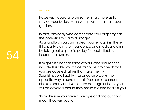54

However, it could also be something simple as to service your boiler, clean your pool or maintain your garden.

In fact, anybody who comes onto your property has the potential to claim damages. As a landlord you can protect yourself against these third-party claims for negligence and medical claims by taking out a specific policy for public liability insurance in Spain.

It might also be that some of your other insurances include this already. It is certainly best to check that you are covered rather than take the risk. Spanish public liability insurance also works the opposite way around so that if you are at someone else's property and you cause damage or injury, you will be covered should they make a claim against you.

So make sure you have coverage and find out how much it covers you for.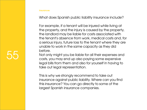What does Spanish public liability insurance include?

For example, if a tenant will be injured while living at the property, and the injury is caused by the property, the landlord may be liable for costs associated with the tenant's absence from work, medical costs and, for a serious injury, future loss to the tenant where they are unable to work in the same capacity as they did before.

Not only might you be liable for all their expenses and costs, you may end up also paying some expensive legal bills from them and also for yourself in having to take out legal representation.

This is why we strongly recommend to take out insurance against public liability. Where can you find this insurance? You can go directly to some of the largest Spanish insurance companies.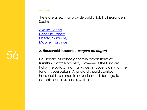Here are a few that provide public liability insurance in Spain:

[Axa Insurance](http://www.axa.es/seguros-responsabilidad-civil) [Caser Insurance](http://www.caser.es/seguros/particulares/responsabilidad-civil) [Liberty Insurance](http://www.libertyseguros.es/seguros-empresas/seguros-responsabilidad-civil) [Mapfre Insurance](http://www.mapfre.es/seguros/empresas/negocio/seguro-responsabilidad-civil) 

### 2. Household insurance (seguro de hogar)

Household insurance generally covers items of furnishings at the property. However, if the landlord holds the policy, it normally doesn't cover claims for the tenant's possessions. A landlord should consider household insurance to cover loss and damage to carpets, curtains, blinds, walls, etc.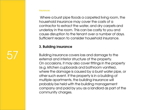57

Where a burst pipe floods a carpeted living room, the household insurance may cover the costs of a contractor to extract the water, and dry carpets and underlay in the room. This can be costly to you and cause disruption to the tenant over a number of days. Sufficient reason to consider household insurance.

### 3. Building insurance

Building insurance covers loss and damage to the external and interior structure of the property. On occasions, it may also cover fittings in the property (e.g. kitchen cupboards and bathroom vanities), where the damage is caused by a burst water pipe, or other such event. If the property is in a building of multiple apartments, the building insurance will probably be held with the building management company and paid by you as a landlord as part of the community charges.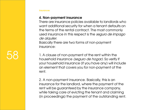#### 4. Non-payment insurance

There are insurance policies available to landlords who want additional security for when a tenant defaults on the terms of the rental contract. The most commonly used insurance in this respect is the *seguro de impago* de alquiler.

Basically there are two forms of non-payment insurance:

1. A clause of non-payment of the rent within the household insurance *(seguro de hogar)*. So verify if your household insurance (if you have any) will include an element that covers you for non-payment of the rent.

2. A non-payment insurance. Basically, this is an insurance for the landlord, where the payment of the rent will be guaranteed by the insurance company, while taking care of evicting the tenant and claiming (in proceedings) the payment of the outstanding rent.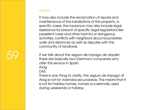It may also include the reclamation of repairs and maintenance of the installations of the property. In specific cases, the insurance may also include legal assistance for breach of specific legal regulations like persistent noise and other harmful or dangerous activities, conflicts with neighbors about boundaries, walls and distances as well as disputes with the community of landlords.

If we talk about the seguro de impago de alquiler, there are basically two (German) companies who offer this service in Spain:

Araa

**[DAS](http://www.das.es/)** 

There is one thing to clarify: the seguro de impago of Arag is not for viviendas secundarias. This means that it is not for holiday homes, homes occasionally used during weekends or holiday.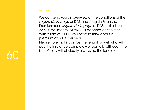We can send you an overview of the conditions of the seguro de impago of DAS and Arag (in Spanish). Premium for a *seguro de impago* at DAS costs about  $22,50 \in$  per month. At ARAG it depends on the rent. With a rent of  $1000 \text{ } \in$  you have to think about a premium of 540  $\epsilon$  per year.

Please note that it can be the tenant as well who will pay the insurance completely or partially, although the beneficiary will obviously always be the landlord.

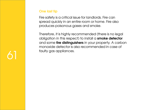## One last tip

Fire safety is a critical issue for landlords. Fire can spread quickly in an entire room or home. Fire also produces poisonous gases and smoke.

Therefore, it is highly recommended (there is no legal obligation in this respect) to install a smoke detector and some fire distinguishers in your property. A carbon monoxide detector is also recommended in case of faulty gas appliances.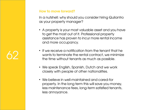How to move forward?

In a nutshell: why should you consider hiring Quilantro as your property manager?

- A property is your most valuable asset and you have to get the most out of it. Professional property assistance has proven to incur more rental income and more occupancy.
- If we receive a notification from the tenant that he wants to terminate the rental contract, we minimize the time without tenants as much as possible.
- We speak English, Spanish, Dutch and we work closely with people of other nationalities.
- We believe in well-maintained and cared-for property. In the long term this will save you money, less maintenance fees, long-term satisfied tenants, less annoyance.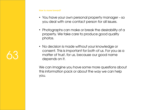#### How to move forward?

- You have your own personal property manager so you deal with one contact person for all issues.
- Photographs can make or break the desirability of a property. We take care to produce good quality photos.
- No decision is made without your knowledge or consent. This is important for both of us. For you as a matter of trust, for us, because our good name depends on it.

We can imagine you have some more questions about this information pack or about the way we can help you.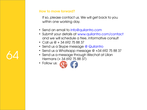## How to move forward?

If so, please contact us. We will get back to you within one working day.

- Send an email to info@quilantro.com
- Submit your details at www.quilantro.com/contact and we will schedule a free, informative consult
- Call us  $\omega$  + 34 692 75 88 37
- Send us a Skype message @ Quilantro
- Send us a Whatsapp message  $@$  +34 692 75 88 37
- Send us a message through Wechat at Lilian Hermans (+ 34 692 75 88 37)
- Follow us: